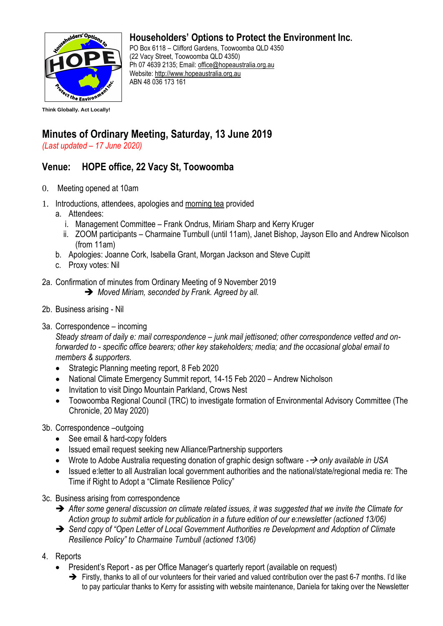

## **Householders' Options to Protect the Environment Inc.**

PO Box 6118 – Clifford Gardens, Toowoomba QLD 4350 (22 Vacy Street, Toowoomba QLD 4350) Ph 07 4639 2135; Email: office@hopeaustralia.org.au Website: http://www.hopeaustralia.org.au ABN 48 036 173 161

## **Minutes of Ordinary Meeting, Saturday, 13 June 2019**

*(Last updated – 17 June 2020)*

## **Venue: HOPE office, 22 Vacy St, Toowoomba**

- 0. Meeting opened at 10am
- 1. Introductions, attendees, apologies and morning tea provided
	- a. Attendees:
		- i. Management Committee Frank Ondrus, Miriam Sharp and Kerry Kruger
		- ii. ZOOM participants Charmaine Turnbull (until 11am), Janet Bishop, Jayson Ello and Andrew Nicolson (from 11am)
	- b. Apologies: Joanne Cork, Isabella Grant, Morgan Jackson and Steve Cupitt
	- c. Proxy votes: Nil
- 2a. Confirmation of minutes from Ordinary Meeting of 9 November 2019
	- ➔ *Moved Miriam, seconded by Frank. Agreed by all.*
- 2b. Business arising Nil
- 3a. Correspondence incoming

*Steady stream of daily e: mail correspondence – junk mail jettisoned; other correspondence vetted and onforwarded to - specific office bearers; other key stakeholders; media; and the occasional global email to members & supporters.* 

- Strategic Planning meeting report, 8 Feb 2020
- National Climate Emergency Summit report, 14-15 Feb 2020 Andrew Nicholson
- Invitation to visit Dingo Mountain Parkland, Crows Nest
- Toowoomba Regional Council (TRC) to investigate formation of Environmental Advisory Committee (The Chronicle, 20 May 2020)
- 3b. Correspondence –outgoing
	- See email & hard-copy folders
	- Issued email request seeking new Alliance/Partnership supporters
	- Wrote to Adobe Australia requesting donation of graphic design software *-*→ *only available in USA*
	- Issued e:letter to all Australian local government authorities and the national/state/regional media re: The Time if Right to Adopt a "Climate Resilience Policy"
- 3c. Business arising from correspondence
	- ➔ *After some general discussion on climate related issues, it was suggested that we invite the Climate for Action group to submit article for publication in a future edition of our e:newsletter (actioned 13/06)*
	- ➔ *Send copy of "Open Letter of Local Government Authorities re Development and Adoption of Climate Resilience Policy" to Charmaine Turnbull (actioned 13/06)*
- 4. Reports
	- President's Report as per Office Manager's quarterly report (available on request)
		- ➔ Firstly, thanks to all of our volunteers for their varied and valued contribution over the past 6-7 months. I'd like to pay particular thanks to Kerry for assisting with website maintenance, Daniela for taking over the Newsletter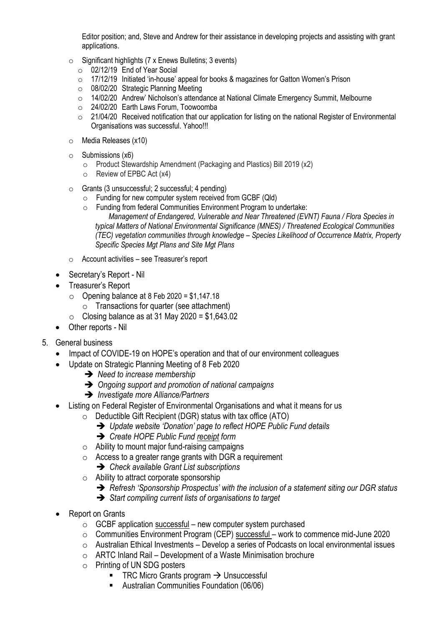Editor position; and, Steve and Andrew for their assistance in developing projects and assisting with grant applications.

- $\circ$  Significant highlights (7 x Enews Bulletins: 3 events)
	- o 02/12/19 End of Year Social
	- o 17/12/19 Initiated 'in-house' appeal for books & magazines for Gatton Women's Prison
	- o 08/02/20 Strategic Planning Meeting
	- $\circ$  14/02/20 Andrew' Nicholson's attendance at National Climate Emergency Summit, Melbourne
	- o 24/02/20 Earth Laws Forum, Toowoomba
	- $\circ$  21/04/20 Received notification that our application for listing on the national Register of Environmental Organisations was successful. Yahoo!!!
- o Media Releases (x10)
- $\circ$  Submissions (x6)
	- o Product Stewardship Amendment (Packaging and Plastics) Bill 2019 (x2)
	- o Review of EPBC Act (x4)
- o Grants (3 unsuccessful; 2 successful; 4 pending)
	- o Funding for new computer system received from GCBF (Qld)
	- o Funding from federal Communities Environment Program to undertake:
		- *Management of Endangered, Vulnerable and Near Threatened (EVNT) Fauna / Flora Species in typical Matters of National Environmental Significance (MNES) / Threatened Ecological Communities (TEC) vegetation communities through knowledge – Species Likelihood of Occurrence Matrix, Property Specific Species Mgt Plans and Site Mgt Plans*
- o Account activities see Treasurer's report
- Secretary's Report Nil
- Treasurer's Report
	- $\circ$  Opening balance at 8 Feb 2020 = \$1,147,18
		- $\circ$  Transactions for quarter (see attachment)
		- Closing balance as at 31 May 2020 =  $$1,643.02$
- Other reports Nil
- 5. General business
	- Impact of COVIDE-19 on HOPE's operation and that of our environment colleagues
	- Update on Strategic Planning Meeting of 8 Feb 2020
		- ➔ *Need to increase membership*
		- ➔ *Ongoing support and promotion of national campaigns*
		- ➔ *Investigate more Alliance/Partners*
	- Listing on Federal Register of Environmental Organisations and what it means for us
		- o Deductible Gift Recipient (DGR) status with tax office (ATO)
			- ➔ *Update website 'Donation' page to reflect HOPE Public Fund details*
			- ➔ *Create HOPE Public Fund receipt form*
		- $\circ$  Ability to mount major fund-raising campaigns
		- $\circ$  Access to a greater range grants with DGR a requirement
		- ➔ *Check available Grant List subscriptions*
		- o Ability to attract corporate sponsorship
			- ➔ *Refresh 'Sponsorship Prospectus' with the inclusion of a statement siting our DGR status*
			- ➔ *Start compiling current lists of organisations to target*
	- Report on Grants
		- $\circ$  GCBF application successful new computer system purchased
		- o Communities Environment Program (CEP) successful work to commence mid-June 2020
		- $\circ$  Australian Ethical Investments Develop a series of Podcasts on local environmental issues
		- $\circ$  ARTC Inland Rail Development of a Waste Minimisation brochure
		- o Printing of UN SDG posters
			- TRC Micro Grants program  $\rightarrow$  Unsuccessful
			- Australian Communities Foundation (06/06)